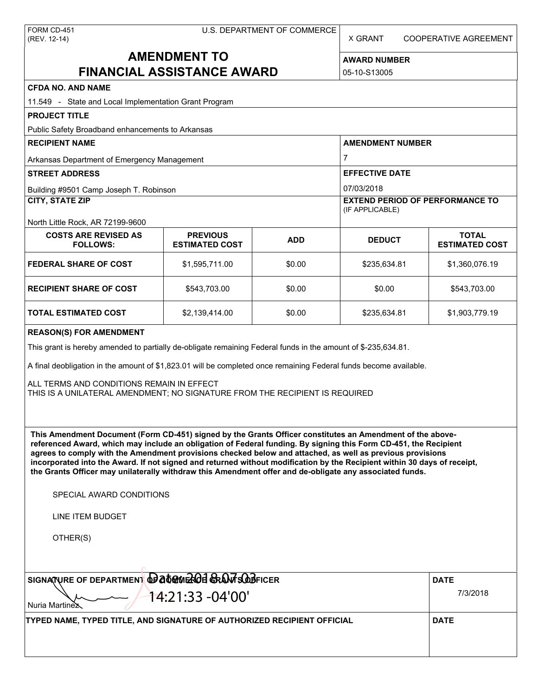| FORM CD-451  |
|--------------|
| (REV. 12-14) |

X GRANT COOPERATIVE AGREEMENT

# **AMENDMENT TO FINANCIAL ASSISTANCE AWARD**

**AWARD NUMBER** 05-10-S13005

| <b>CFDA NO. AND NAME</b>                                                                                                                                                                                                                                                                                                                                                                                                                                                                                                                                                          |                                          |            |                                                           |                                       |  |
|-----------------------------------------------------------------------------------------------------------------------------------------------------------------------------------------------------------------------------------------------------------------------------------------------------------------------------------------------------------------------------------------------------------------------------------------------------------------------------------------------------------------------------------------------------------------------------------|------------------------------------------|------------|-----------------------------------------------------------|---------------------------------------|--|
| 11.549 - State and Local Implementation Grant Program                                                                                                                                                                                                                                                                                                                                                                                                                                                                                                                             |                                          |            |                                                           |                                       |  |
| <b>PROJECT TITLE</b>                                                                                                                                                                                                                                                                                                                                                                                                                                                                                                                                                              |                                          |            |                                                           |                                       |  |
| Public Safety Broadband enhancements to Arkansas                                                                                                                                                                                                                                                                                                                                                                                                                                                                                                                                  |                                          |            |                                                           |                                       |  |
| <b>RECIPIENT NAME</b>                                                                                                                                                                                                                                                                                                                                                                                                                                                                                                                                                             |                                          |            | <b>AMENDMENT NUMBER</b>                                   |                                       |  |
| Arkansas Department of Emergency Management                                                                                                                                                                                                                                                                                                                                                                                                                                                                                                                                       |                                          |            | $\overline{7}$<br><b>EFFECTIVE DATE</b><br>07/03/2018     |                                       |  |
| <b>STREET ADDRESS</b>                                                                                                                                                                                                                                                                                                                                                                                                                                                                                                                                                             |                                          |            |                                                           |                                       |  |
| Building #9501 Camp Joseph T. Robinson                                                                                                                                                                                                                                                                                                                                                                                                                                                                                                                                            |                                          |            |                                                           |                                       |  |
| <b>CITY, STATE ZIP</b>                                                                                                                                                                                                                                                                                                                                                                                                                                                                                                                                                            |                                          |            | <b>EXTEND PERIOD OF PERFORMANCE TO</b><br>(IF APPLICABLE) |                                       |  |
| North Little Rock, AR 72199-9600                                                                                                                                                                                                                                                                                                                                                                                                                                                                                                                                                  |                                          |            |                                                           |                                       |  |
| <b>COSTS ARE REVISED AS</b><br><b>FOLLOWS:</b>                                                                                                                                                                                                                                                                                                                                                                                                                                                                                                                                    | <b>PREVIOUS</b><br><b>ESTIMATED COST</b> | <b>ADD</b> | <b>DEDUCT</b>                                             | <b>TOTAL</b><br><b>ESTIMATED COST</b> |  |
| <b>FEDERAL SHARE OF COST</b>                                                                                                                                                                                                                                                                                                                                                                                                                                                                                                                                                      | \$1,595,711.00                           | \$0.00     | \$235,634.81                                              | \$1,360,076.19                        |  |
| <b>RECIPIENT SHARE OF COST</b>                                                                                                                                                                                                                                                                                                                                                                                                                                                                                                                                                    | \$543,703.00                             | \$0.00     | \$0.00                                                    | \$543,703.00                          |  |
| TOTAL ESTIMATED COST                                                                                                                                                                                                                                                                                                                                                                                                                                                                                                                                                              | \$2,139,414.00                           | \$0.00     | \$235,634.81                                              | \$1,903,779.19                        |  |
| <b>REASON(S) FOR AMENDMENT</b>                                                                                                                                                                                                                                                                                                                                                                                                                                                                                                                                                    |                                          |            |                                                           |                                       |  |
| This grant is hereby amended to partially de-obligate remaining Federal funds in the amount of \$-235,634.81.                                                                                                                                                                                                                                                                                                                                                                                                                                                                     |                                          |            |                                                           |                                       |  |
| A final deobligation in the amount of \$1,823.01 will be completed once remaining Federal funds become available.                                                                                                                                                                                                                                                                                                                                                                                                                                                                 |                                          |            |                                                           |                                       |  |
|                                                                                                                                                                                                                                                                                                                                                                                                                                                                                                                                                                                   |                                          |            |                                                           |                                       |  |
| ALL TERMS AND CONDITIONS REMAIN IN EFFECT<br>THIS IS A UNILATERAL AMENDMENT; NO SIGNATURE FROM THE RECIPIENT IS REQUIRED                                                                                                                                                                                                                                                                                                                                                                                                                                                          |                                          |            |                                                           |                                       |  |
|                                                                                                                                                                                                                                                                                                                                                                                                                                                                                                                                                                                   |                                          |            |                                                           |                                       |  |
|                                                                                                                                                                                                                                                                                                                                                                                                                                                                                                                                                                                   |                                          |            |                                                           |                                       |  |
| This Amendment Document (Form CD-451) signed by the Grants Officer constitutes an Amendment of the above-<br>referenced Award, which may include an obligation of Federal funding. By signing this Form CD-451, the Recipient<br>agrees to comply with the Amendment provisions checked below and attached, as well as previous provisions<br>incorporated into the Award. If not signed and returned without modification by the Recipient within 30 days of receipt,<br>the Grants Officer may unilaterally withdraw this Amendment offer and de-obligate any associated funds. |                                          |            |                                                           |                                       |  |
| SPECIAL AWARD CONDITIONS                                                                                                                                                                                                                                                                                                                                                                                                                                                                                                                                                          |                                          |            |                                                           |                                       |  |
| LINE ITEM BUDGET                                                                                                                                                                                                                                                                                                                                                                                                                                                                                                                                                                  |                                          |            |                                                           |                                       |  |
| OTHER(S)                                                                                                                                                                                                                                                                                                                                                                                                                                                                                                                                                                          |                                          |            |                                                           |                                       |  |
|                                                                                                                                                                                                                                                                                                                                                                                                                                                                                                                                                                                   |                                          |            |                                                           |                                       |  |
| SIGNATURE OF DEPARTMENT @ at @ MEROE GRANT SOBFICER                                                                                                                                                                                                                                                                                                                                                                                                                                                                                                                               |                                          |            |                                                           | <b>DATE</b>                           |  |
| 14:21:33 -04'00'<br>Nuria Martinex                                                                                                                                                                                                                                                                                                                                                                                                                                                                                                                                                |                                          |            |                                                           | 7/3/2018                              |  |
| TYPED NAME, TYPED TITLE, AND SIGNATURE OF AUTHORIZED RECIPIENT OFFICIAL                                                                                                                                                                                                                                                                                                                                                                                                                                                                                                           |                                          |            |                                                           | <b>DATE</b>                           |  |
|                                                                                                                                                                                                                                                                                                                                                                                                                                                                                                                                                                                   |                                          |            |                                                           |                                       |  |